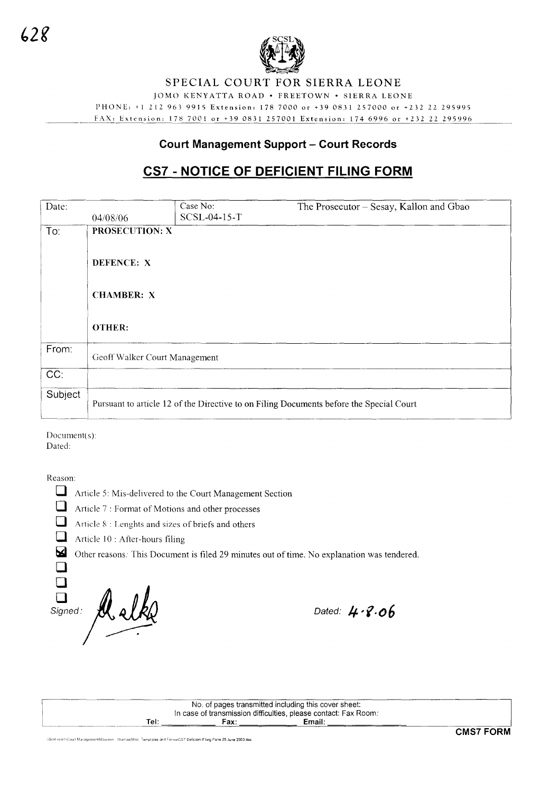

# SPECIAL COURT FOR SIERRA LEONE

JOMO KENYATTA ROAD . FREETOWN . SIERRA LEONE

PHONE: +1 212 963 9915 Extension: 178 7000 or +39 0831 257000 or +232 22 295995 FAX: Extension: 178 7001 or +39 0831 257001 Extension: 174 6996 or +232 22 295996

# **Court Management Support - Court Records**

# CS7 - NOTICE OF DEFICIENT FILING FORM

| Date:   |                                                                                         | Case No:     | The Prosecutor – Sesay, Kallon and Gbao |
|---------|-----------------------------------------------------------------------------------------|--------------|-----------------------------------------|
|         | 04/08/06                                                                                | SCSL-04-15-T |                                         |
| To:     | PROSECUTION: X                                                                          |              |                                         |
|         |                                                                                         |              |                                         |
|         | DEFENCE: X<br><b>CHAMBER: X</b><br>OTHER:                                               |              |                                         |
|         |                                                                                         |              |                                         |
|         |                                                                                         |              |                                         |
|         |                                                                                         |              |                                         |
|         |                                                                                         |              |                                         |
|         |                                                                                         |              |                                         |
|         |                                                                                         |              |                                         |
| From:   | Geoff Walker Court Management                                                           |              |                                         |
|         |                                                                                         |              |                                         |
| CC:     |                                                                                         |              |                                         |
| Subject |                                                                                         |              |                                         |
|         | Pursuant to article 12 of the Directive to on Filing Documents before the Special Court |              |                                         |
|         |                                                                                         |              |                                         |

Document(s):

Dated:

Reason:

 $\Box$ 

Article 5: Mis-delivered to the Court Management Section

 $\Box$ Article 7 : Format of Motions and other processes

 $\Box$ Article 8 : Lenghts and sizes of briefs and others

 $\Box$ Article 10 : After-hours filing  $\overline{\mathbf{z}}$ 

Other reasons: This Document is filed 29 minutes out of time. No explanation was tendered.

 $\Box$  $\Box$ Signed:

Dated:  $4.8.06$ 

No. of pages transmitted including this cover sheet: In case of transmission difficulties, please contact: Fax Room: Email: Tel: Fax:

ารil1\Court ManagementMaureen Thomas\Misc. Templates and Forms\CS7 Deficient Filing Form 25 June 2003 doc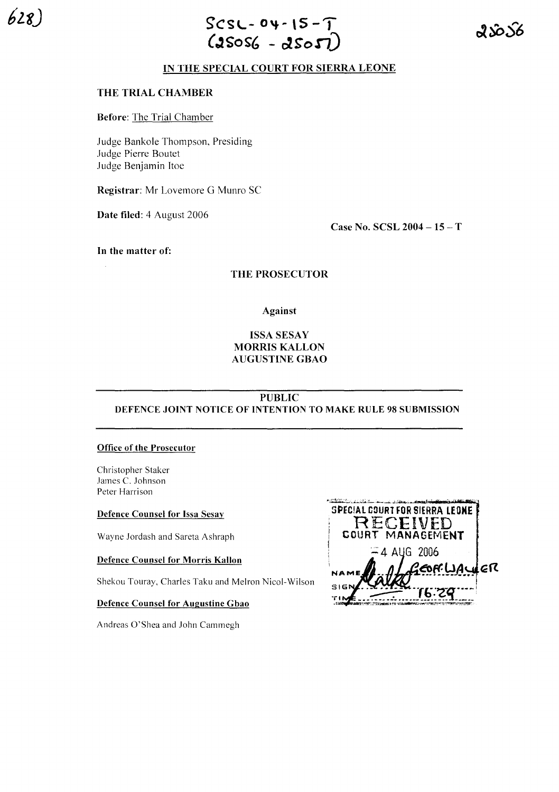

ည္ ၇၃

#### IN THE SPECIAL COURT FOR SIERRA LEONE

#### THE TRIAL CHAMBER

Before: The Trial Chamber

Judge Bankole Thompson, Presiding Judge Pierre Boutet Judge Benjamin Itoe

Registrar: Mr Lovemore G Munro SC

Date filed: 4 August 2006

Case No. SCSL 2004 - 15 - T

In the matter of:

THE PROSECUTOR

Against

### ISSA SESAY MORRIS KALLON AUGUSTINE GBAO

## PUBLIC DEFENCE JOINT NOTICE OF INTENTION TO MAKE RULE 98 SUBMISSION

#### Office of the Prosecutor

Christopher Staker James C. Johnson Peter Harrison

#### Defence Counsel for Issa Sesay

Wayne Jordash and Sareta Ashraph

#### Defence Counsel for Morris Kallon

Shekou Touray, Charles Taku and Melron Nicol-Wilson

#### Defence Counsel for Augustine Gbao

Andreas O'Shea and John Cammegh